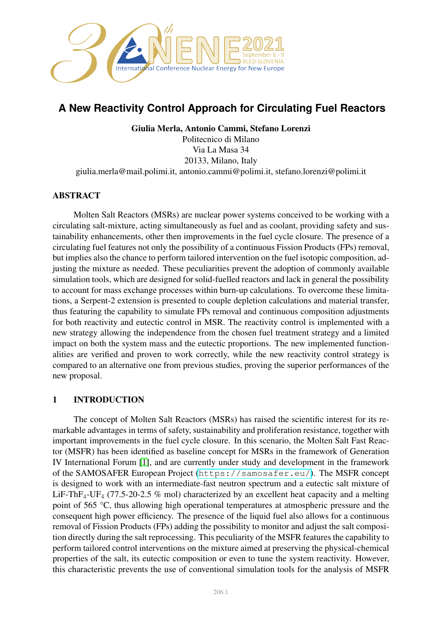

# **A New Reactivity Control Approach for Circulating Fuel Reactors**

Giulia Merla, Antonio Cammi, Stefano Lorenzi Politecnico di Milano Via La Masa 34 20133, Milano, Italy giulia.merla@mail.polimi.it, antonio.cammi@polimi.it, stefano.lorenzi@polimi.it

# ABSTRACT

Molten Salt Reactors (MSRs) are nuclear power systems conceived to be working with a circulating salt-mixture, acting simultaneously as fuel and as coolant, providing safety and sustainability enhancements, other then improvements in the fuel cycle closure. The presence of a circulating fuel features not only the possibility of a continuous Fission Products (FPs) removal, but implies also the chance to perform tailored intervention on the fuel isotopic composition, adjusting the mixture as needed. These peculiarities prevent the adoption of commonly available simulation tools, which are designed for solid-fuelled reactors and lack in general the possibility to account for mass exchange processes within burn-up calculations. To overcome these limitations, a Serpent-2 extension is presented to couple depletion calculations and material transfer, thus featuring the capability to simulate FPs removal and continuous composition adjustments for both reactivity and eutectic control in MSR. The reactivity control is implemented with a new strategy allowing the independence from the chosen fuel treatment strategy and a limited impact on both the system mass and the eutectic proportions. The new implemented functionalities are verified and proven to work correctly, while the new reactivity control strategy is compared to an alternative one from previous studies, proving the superior performances of the new proposal.

## 1 INTRODUCTION

The concept of Molten Salt Reactors (MSRs) has raised the scientific interest for its remarkable advantages in terms of safety, sustainability and proliferation resistance, together with important improvements in the fuel cycle closure. In this scenario, the Molten Salt Fast Reactor (MSFR) has been identified as baseline concept for MSRs in the framework of Generation IV International Forum [\[1\]](#page-7-0), and are currently under study and development in the framework of the SAMOSAFER European Project (<https://samosafer.eu/>). The MSFR concept is designed to work with an intermediate-fast neutron spectrum and a eutectic salt mixture of LiF-ThF<sub>4</sub>-UF<sub>4</sub> (77.5-20-2.5 % mol) characterized by an excellent heat capacity and a melting point of 565 °C, thus allowing high operational temperatures at atmospheric pressure and the consequent high power efficiency. The presence of the liquid fuel also allows for a continuous removal of Fission Products (FPs) adding the possibility to monitor and adjust the salt composition directly during the salt reprocessing. This peculiarity of the MSFR features the capability to perform tailored control interventions on the mixture aimed at preserving the physical-chemical properties of the salt, its eutectic composition or even to tune the system reactivity. However, this characteristic prevents the use of conventional simulation tools for the analysis of MSFR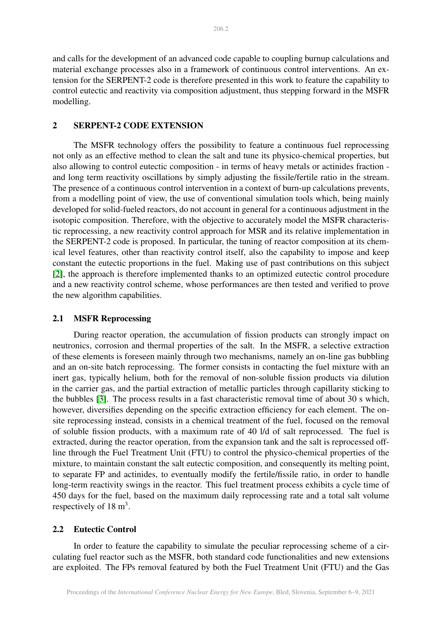and calls for the development of an advanced code capable to coupling burnup calculations and material exchange processes also in a framework of continuous control interventions. An extension for the SERPENT-2 code is therefore presented in this work to feature the capability to control eutectic and reactivity via composition adjustment, thus stepping forward in the MSFR modelling.

## 2 SERPENT-2 CODE EXTENSION

The MSFR technology offers the possibility to feature a continuous fuel reprocessing not only as an effective method to clean the salt and tune its physico-chemical properties, but also allowing to control eutectic composition - in terms of heavy metals or actinides fraction and long term reactivity oscillations by simply adjusting the fissile/fertile ratio in the stream. The presence of a continuous control intervention in a context of burn-up calculations prevents, from a modelling point of view, the use of conventional simulation tools which, being mainly developed for solid-fueled reactors, do not account in general for a continuous adjustment in the isotopic composition. Therefore, with the objective to accurately model the MSFR characteristic reprocessing, a new reactivity control approach for MSR and its relative implementation in the SERPENT-2 code is proposed. In particular, the tuning of reactor composition at its chemical level features, other than reactivity control itself, also the capability to impose and keep constant the eutectic proportions in the fuel. Making use of past contributions on this subject [\[2\]](#page-7-1), the approach is therefore implemented thanks to an optimized eutectic control procedure and a new reactivity control scheme, whose performances are then tested and verified to prove the new algorithm capabilities.

# 2.1 MSFR Reprocessing

During reactor operation, the accumulation of fission products can strongly impact on neutronics, corrosion and thermal properties of the salt. In the MSFR, a selective extraction of these elements is foreseen mainly through two mechanisms, namely an on-line gas bubbling and an on-site batch reprocessing. The former consists in contacting the fuel mixture with an inert gas, typically helium, both for the removal of non-soluble fission products via dilution in the carrier gas, and the partial extraction of metallic particles through capillarity sticking to the bubbles [\[3\]](#page-7-2). The process results in a fast characteristic removal time of about 30 s which, however, diversifies depending on the specific extraction efficiency for each element. The onsite reprocessing instead, consists in a chemical treatment of the fuel, focused on the removal of soluble fission products, with a maximum rate of 40 l/d of salt reprocessed. The fuel is extracted, during the reactor operation, from the expansion tank and the salt is reprocessed offline through the Fuel Treatment Unit (FTU) to control the physico-chemical properties of the mixture, to maintain constant the salt eutectic composition, and consequently its melting point, to separate FP and actinides, to eventually modify the fertile/fissile ratio, in order to handle long-term reactivity swings in the reactor. This fuel treatment process exhibits a cycle time of 450 days for the fuel, based on the maximum daily reprocessing rate and a total salt volume respectively of  $18 \text{ m}^3$ .

## 2.2 Eutectic Control

In order to feature the capability to simulate the peculiar reprocessing scheme of a circulating fuel reactor such as the MSFR, both standard code functionalities and new extensions are exploited. The FPs removal featured by both the Fuel Treatment Unit (FTU) and the Gas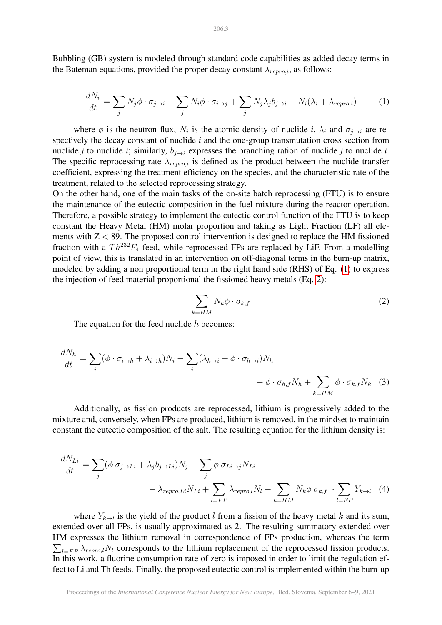<span id="page-2-0"></span>Bubbling (GB) system is modeled through standard code capabilities as added decay terms in the Bateman equations, provided the proper decay constant  $\lambda_{repro,i}$ , as follows:

$$
\frac{dN_i}{dt} = \sum_j N_j \phi \cdot \sigma_{j \to i} - \sum_j N_i \phi \cdot \sigma_{i \to j} + \sum_j N_j \lambda_j b_{j \to i} - N_i (\lambda_i + \lambda_{repro,i}) \tag{1}
$$

where  $\phi$  is the neutron flux,  $N_i$  is the atomic density of nuclide *i*,  $\lambda_i$  and  $\sigma_{j\to i}$  are respectively the decay constant of nuclide *i* and the one-group transmutation cross section from nuclide *j* to nuclide *i*; similarly,  $b_{i\rightarrow i}$  expresses the branching ration of nuclide *j* to nuclide *i*. The specific reprocessing rate  $\lambda_{repro,i}$  is defined as the product between the nuclide transfer coefficient, expressing the treatment efficiency on the species, and the characteristic rate of the treatment, related to the selected reprocessing strategy.

On the other hand, one of the main tasks of the on-site batch reprocessing (FTU) is to ensure the maintenance of the eutectic composition in the fuel mixture during the reactor operation. Therefore, a possible strategy to implement the eutectic control function of the FTU is to keep constant the Heavy Metal (HM) molar proportion and taking as Light Fraction (LF) all elements with  $Z < 89$ . The proposed control intervention is designed to replace the HM fissioned fraction with a  $Th^{232}F_4$  feed, while reprocessed FPs are replaced by LiF. From a modelling point of view, this is translated in an intervention on off-diagonal terms in the burn-up matrix, modeled by adding a non proportional term in the right hand side (RHS) of Eq. [\(1\)](#page-2-0) to express the injection of feed material proportional the fissioned heavy metals (Eq. [2\)](#page-2-1):

$$
\sum_{k=HM} N_k \phi \cdot \sigma_{k,f} \tag{2}
$$

<span id="page-2-1"></span>The equation for the feed nuclide  $h$  becomes:

$$
\frac{dN_h}{dt} = \sum_i (\phi \cdot \sigma_{i \to h} + \lambda_{i \to h}) N_i - \sum_i (\lambda_{h \to i} + \phi \cdot \sigma_{h \to i}) N_h - \phi \cdot \sigma_{h,f} N_h + \sum_{k=HM} \phi \cdot \sigma_{k,f} N_k
$$
 (3)

Additionally, as fission products are reprocessed, lithium is progressively added to the mixture and, conversely, when FPs are produced, lithium is removed, in the mindset to maintain constant the eutectic composition of the salt. The resulting equation for the lithium density is:

$$
\frac{dN_{Li}}{dt} = \sum_{j} (\phi \sigma_{j \to Li} + \lambda_j b_{j \to Li}) N_j - \sum_{j} \phi \sigma_{Li \to j} N_{Li} \n- \lambda_{repro, Li} N_{Li} + \sum_{l = FP} \lambda_{repro,l} N_l - \sum_{k = HM} N_k \phi \sigma_{k,f} \cdot \sum_{l = FP} Y_{k \to l}
$$
(4)

where  $Y_{k\rightarrow l}$  is the yield of the product l from a fission of the heavy metal k and its sum, extended over all FPs, is usually approximated as 2. The resulting summatory extended over HM expresses the lithium removal in correspondence of FPs production, whereas the term  $\sum_{l=FP} \lambda_{repro,l} N_l$  corresponds to the lithium replacement of the reprocessed fission products. In this work, a fluorine consumption rate of zero is imposed in order to limit the regulation effect to Li and Th feeds. Finally, the proposed eutectic control is implemented within the burn-up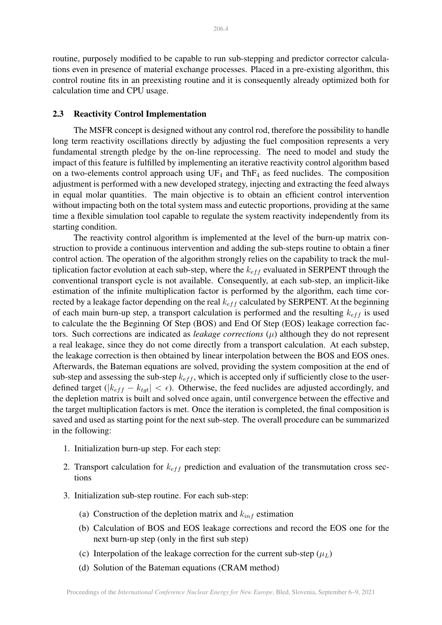routine, purposely modified to be capable to run sub-stepping and predictor corrector calculations even in presence of material exchange processes. Placed in a pre-existing algorithm, this control routine fits in an preexisting routine and it is consequently already optimized both for calculation time and CPU usage.

#### 2.3 Reactivity Control Implementation

The MSFR concept is designed without any control rod, therefore the possibility to handle long term reactivity oscillations directly by adjusting the fuel composition represents a very fundamental strength pledge by the on-line reprocessing. The need to model and study the impact of this feature is fulfilled by implementing an iterative reactivity control algorithm based on a two-elements control approach using  $UF_4$  and  $ThF_4$  as feed nuclides. The composition adjustment is performed with a new developed strategy, injecting and extracting the feed always in equal molar quantities. The main objective is to obtain an efficient control intervention without impacting both on the total system mass and eutectic proportions, providing at the same time a flexible simulation tool capable to regulate the system reactivity independently from its starting condition.

The reactivity control algorithm is implemented at the level of the burn-up matrix construction to provide a continuous intervention and adding the sub-steps routine to obtain a finer control action. The operation of the algorithm strongly relies on the capability to track the multiplication factor evolution at each sub-step, where the  $k_{eff}$  evaluated in SERPENT through the conventional transport cycle is not available. Consequently, at each sub-step, an implicit-like estimation of the infinite multiplication factor is performed by the algorithm, each time corrected by a leakage factor depending on the real  $k_{eff}$  calculated by SERPENT. At the beginning of each main burn-up step, a transport calculation is performed and the resulting  $k_{eff}$  is used to calculate the the Beginning Of Step (BOS) and End Of Step (EOS) leakage correction factors. Such corrections are indicated as *leakage corrections*  $(\mu)$  although they do not represent a real leakage, since they do not come directly from a transport calculation. At each substep, the leakage correction is then obtained by linear interpolation between the BOS and EOS ones. Afterwards, the Bateman equations are solved, providing the system composition at the end of sub-step and assessing the sub-step  $k_{eff}$ , which is accepted only if sufficiently close to the userdefined target ( $|k_{eff} - k_{tot}| < \epsilon$ ). Otherwise, the feed nuclides are adjusted accordingly, and the depletion matrix is built and solved once again, until convergence between the effective and the target multiplication factors is met. Once the iteration is completed, the final composition is saved and used as starting point for the next sub-step. The overall procedure can be summarized in the following:

- 1. Initialization burn-up step. For each step:
- 2. Transport calculation for  $k_{eff}$  prediction and evaluation of the transmutation cross sections
- 3. Initialization sub-step routine. For each sub-step:
	- (a) Construction of the depletion matrix and  $k_{inf}$  estimation
	- (b) Calculation of BOS and EOS leakage corrections and record the EOS one for the next burn-up step (only in the first sub step)
	- (c) Interpolation of the leakage correction for the current sub-step  $(\mu_L)$
	- (d) Solution of the Bateman equations (CRAM method)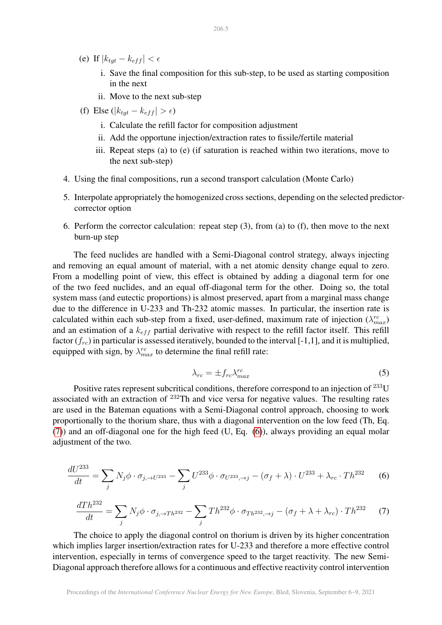- (e) If  $|k_{tot} k_{eff}| < \epsilon$ 
	- i. Save the final composition for this sub-step, to be used as starting composition in the next
	- ii. Move to the next sub-step
- (f) Else ( $|k_{tot} k_{eff}| > \epsilon$ )
	- i. Calculate the refill factor for composition adjustment
	- ii. Add the opportune injection/extraction rates to fissile/fertile material
	- iii. Repeat steps (a) to (e) (if saturation is reached within two iterations, move to the next sub-step)
- 4. Using the final compositions, run a second transport calculation (Monte Carlo)
- 5. Interpolate appropriately the homogenized cross sections, depending on the selected predictorcorrector option
- 6. Perform the corrector calculation: repeat step (3), from (a) to (f), then move to the next burn-up step

The feed nuclides are handled with a Semi-Diagonal control strategy, always injecting and removing an equal amount of material, with a net atomic density change equal to zero. From a modelling point of view, this effect is obtained by adding a diagonal term for one of the two feed nuclides, and an equal off-diagonal term for the other. Doing so, the total system mass (and eutectic proportions) is almost preserved, apart from a marginal mass change due to the difference in U-233 and Th-232 atomic masses. In particular, the insertion rate is calculated within each sub-step from a fixed, user-defined, maximum rate of injection  $(\lambda_{max}^{rc})$ and an estimation of a  $k_{eff}$  partial derivative with respect to the refill factor itself. This refill factor  $(f_{rc})$  in particular is assessed iteratively, bounded to the interval [-1,1], and it is multiplied, equipped with sign, by  $\lambda_{max}^{rc}$  to determine the final refill rate:

$$
\lambda_{rc} = \pm f_{rc} \lambda_{max}^{rc} \tag{5}
$$

Positive rates represent subcritical conditions, therefore correspond to an injection of <sup>233</sup>U associated with an extraction of  $^{232}$ Th and vice versa for negative values. The resulting rates are used in the Bateman equations with a Semi-Diagonal control approach, choosing to work proportionally to the thorium share, thus with a diagonal intervention on the low feed (Th, Eq. [\(7\)](#page-4-0)) and an off-diagonal one for the high feed (U, Eq. [\(6\)](#page-4-1)), always providing an equal molar adjustment of the two.

<span id="page-4-1"></span>
$$
\frac{dU^{233}}{dt} = \sum_{j} N_j \phi \cdot \sigma_{j, \to U^{233}} - \sum_{j} U^{233} \phi \cdot \sigma_{U^{233}, \to j} - (\sigma_f + \lambda) \cdot U^{233} + \lambda_{rc} \cdot Th^{232} \tag{6}
$$

<span id="page-4-0"></span>
$$
\frac{dTh^{232}}{dt} = \sum_{j} N_j \phi \cdot \sigma_{j, \to Th^{232}} - \sum_{j} Th^{232} \phi \cdot \sigma_{Th^{232}, \to j} - (\sigma_f + \lambda + \lambda_{rc}) \cdot Th^{232} \tag{7}
$$

The choice to apply the diagonal control on thorium is driven by its higher concentration which implies larger insertion/extraction rates for U-233 and therefore a more effective control intervention, especially in terms of convergence speed to the target reactivity. The new Semi-Diagonal approach therefore allows for a continuous and effective reactivity control intervention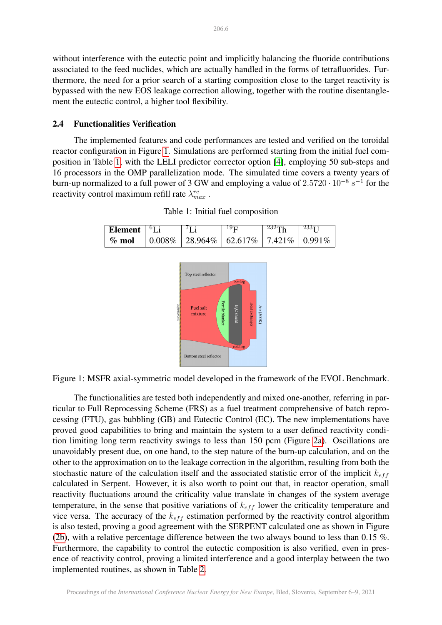without interference with the eutectic point and implicitly balancing the fluoride contributions associated to the feed nuclides, which are actually handled in the forms of tetrafluorides. Furthermore, the need for a prior search of a starting composition close to the target reactivity is bypassed with the new EOS leakage correction allowing, together with the routine disentanglement the eutectic control, a higher tool flexibility.

#### 2.4 Functionalities Verification

The implemented features and code performances are tested and verified on the toroidal reactor configuration in Figure [1.](#page-5-0) Simulations are performed starting from the initial fuel composition in Table [1,](#page-5-1) with the LELI predictor corrector option [\[4\]](#page-7-3), employing 50 sub-steps and 16 processors in the OMP parallelization mode. The simulated time covers a twenty years of burn-up normalized to a full power of 3 GW and employing a value of  $2.5720 \cdot 10^{-8} s^{-1}$  for the reactivity control maximum refill rate  $\lambda_{max}^{rc}$ .

<span id="page-5-1"></span><span id="page-5-0"></span>

| Element $ ^{6}$ Li | 71i | 19 <sub>F</sub>                                                           | $232$ Th | 23311 |
|--------------------|-----|---------------------------------------------------------------------------|----------|-------|
| $\%$ mol           |     | $\vert 0.008\% \vert 28.964\% \vert 62.617\% \vert 7.421\% \vert 0.991\%$ |          |       |

Table 1: Initial fuel composition



Figure 1: MSFR axial-symmetric model developed in the framework of the EVOL Benchmark.

The functionalities are tested both independently and mixed one-another, referring in particular to Full Reprocessing Scheme (FRS) as a fuel treatment comprehensive of batch reprocessing (FTU), gas bubbling (GB) and Eutectic Control (EC). The new implementations have proved good capabilities to bring and maintain the system to a user defined reactivity condition limiting long term reactivity swings to less than 150 pcm (Figure [2a\)](#page-6-0). Oscillations are unavoidably present due, on one hand, to the step nature of the burn-up calculation, and on the other to the approximation on to the leakage correction in the algorithm, resulting from both the stochastic nature of the calculation itself and the associated statistic error of the implicit  $k_{eff}$ calculated in Serpent. However, it is also worth to point out that, in reactor operation, small reactivity fluctuations around the criticality value translate in changes of the system average temperature, in the sense that positive variations of  $k_{eff}$  lower the criticality temperature and vice versa. The accuracy of the  $k_{eff}$  estimation performed by the reactivity control algorithm is also tested, proving a good agreement with the SERPENT calculated one as shown in Figure [\(2b\)](#page-6-0), with a relative percentage difference between the two always bound to less than 0.15  $\%$ . Furthermore, the capability to control the eutectic composition is also verified, even in presence of reactivity control, proving a limited interference and a good interplay between the two implemented routines, as shown in Table [2.](#page-6-1)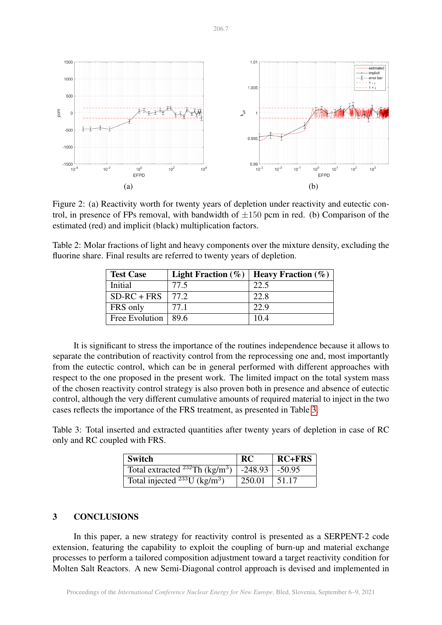<span id="page-6-0"></span>

Figure 2: (a) Reactivity worth for twenty years of depletion under reactivity and eutectic control, in presence of FPs removal, with bandwidth of  $\pm 150$  pcm in red. (b) Comparison of the estimated (red) and implicit (black) multiplication factors.

<span id="page-6-1"></span>Table 2: Molar fractions of light and heavy components over the mixture density, excluding the fluorine share. Final results are referred to twenty years of depletion.

| <b>Test Case</b>        | Light Fraction $(\% )$ | <b>Heavy Fraction</b> $(\%)$ |
|-------------------------|------------------------|------------------------------|
| Initial                 | 77.5                   | 22.5                         |
| $SD-RC + FRS$   77.2    |                        | 22.8                         |
| FRS only                | 77.1                   | 22.9                         |
| Free Evolution $ 89.6 $ |                        | 10.4                         |

It is significant to stress the importance of the routines independence because it allows to separate the contribution of reactivity control from the reprocessing one and, most importantly from the eutectic control, which can be in general performed with different approaches with respect to the one proposed in the present work. The limited impact on the total system mass of the chosen reactivity control strategy is also proven both in presence and absence of eutectic control, although the very different cumulative amounts of required material to inject in the two cases reflects the importance of the FRS treatment, as presented in Table [3.](#page-6-2)

<span id="page-6-2"></span>Table 3: Total inserted and extracted quantities after twenty years of depletion in case of RC only and RC coupled with FRS.

| <b>Switch</b>                                              | <b>RC</b> | $RC+FRS$ |
|------------------------------------------------------------|-----------|----------|
| Total extracted $^{232}$ Th (kg/m <sup>3</sup> )   -248.93 |           | $-50.95$ |
| Total injected $^{233}$ U (kg/m <sup>3</sup> )             | 250.01    | 51.17    |

#### 3 CONCLUSIONS

In this paper, a new strategy for reactivity control is presented as a SERPENT-2 code extension, featuring the capability to exploit the coupling of burn-up and material exchange processes to perform a tailored composition adjustment toward a target reactivity condition for Molten Salt Reactors. A new Semi-Diagonal control approach is devised and implemented in